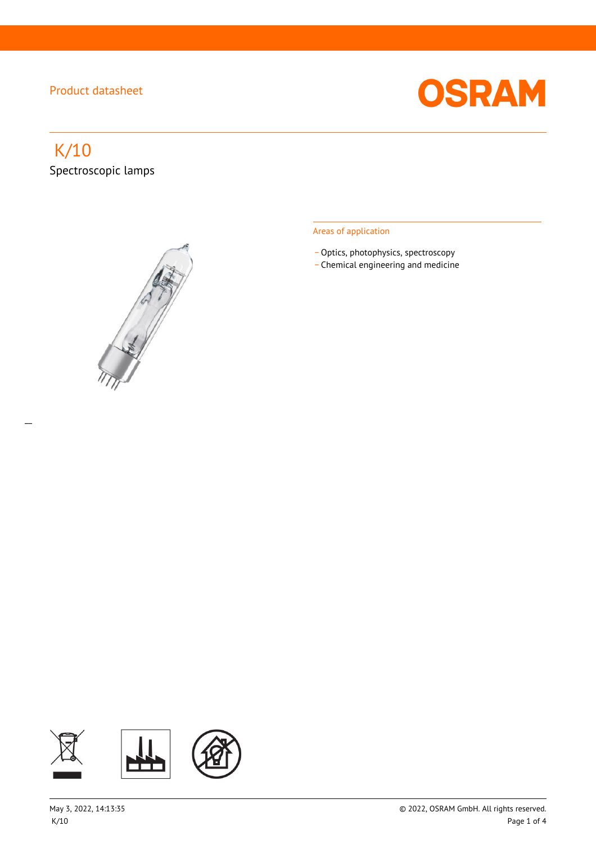

# K/10 Spectroscopic lamps

 $\overline{a}$ 



#### Areas of application

- Optics, photophysics, spectroscopy
- \_ Chemical engineering and medicine

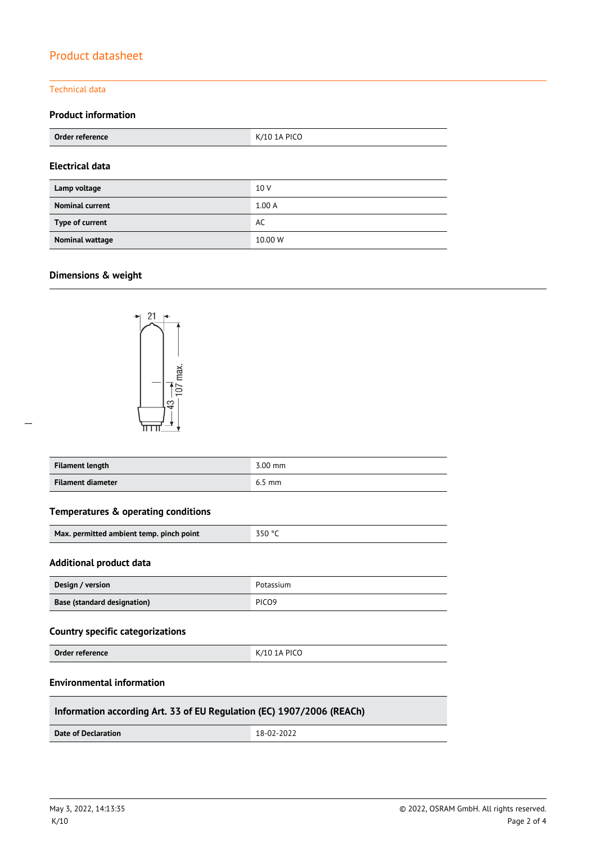#### Technical data

### **Product information**

| Order reference        | K/10 1A PICO |  |
|------------------------|--------------|--|
| <b>Electrical data</b> |              |  |
| Lamp voltage           | 10 V         |  |
| <b>Nominal current</b> | 1.00A        |  |
| Type of current        | AC           |  |
| Nominal wattage        | 10.00 W      |  |

#### **Dimensions & weight**

 $\overline{a}$ 



| Filament length   | 3.00 mm  |
|-------------------|----------|
| Filament diameter | $6.5$ mm |

#### **Temperatures & operating conditions**

| Max. permitted ambient temp. pinch point | $-350$ °C |
|------------------------------------------|-----------|
|                                          |           |

#### **Additional product data**

| Design / version            | Potassium         |
|-----------------------------|-------------------|
| Base (standard designation) | PICO <sub>9</sub> |

#### **Country specific categorizations**

**Order reference** K/10 1A PICO

#### **Environmental information**

#### **Information according Art. 33 of EU Regulation (EC) 1907/2006 (REACh)**

**Date of Declaration** 18-02-2022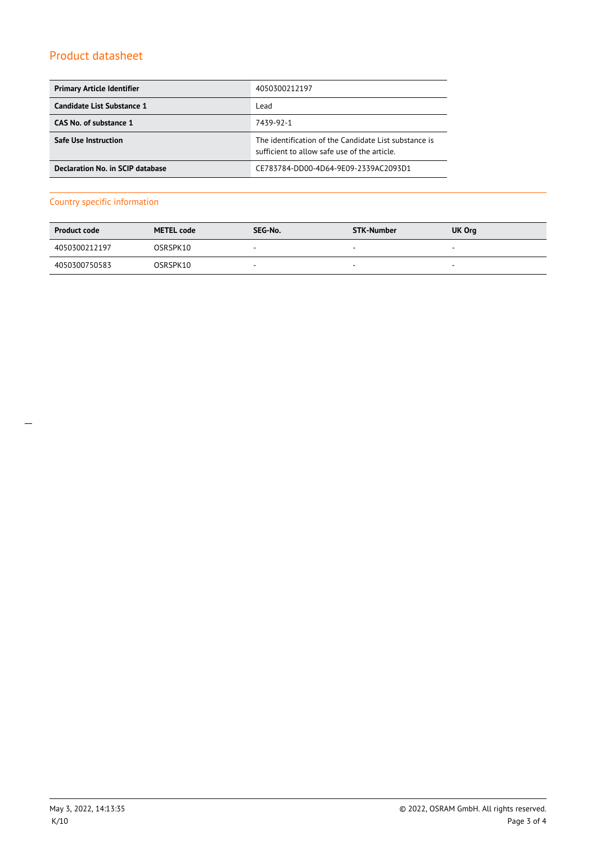| <b>Primary Article Identifier</b>       | 4050300212197                                                                                         |
|-----------------------------------------|-------------------------------------------------------------------------------------------------------|
| Candidate List Substance 1              | Lead                                                                                                  |
| CAS No. of substance 1                  | 7439-92-1                                                                                             |
| <b>Safe Use Instruction</b>             | The identification of the Candidate List substance is<br>sufficient to allow safe use of the article. |
| <b>Declaration No. in SCIP database</b> | CE783784-DD00-4D64-9E09-2339AC2093D1                                                                  |

#### Country specific information

| <b>Product code</b> | <b>METEL code</b> | SEG-No.                  | STK-Number               | UK Org                   |
|---------------------|-------------------|--------------------------|--------------------------|--------------------------|
| 4050300212197       | OSRSPK10          | $\overline{\phantom{0}}$ | $\overline{\phantom{a}}$ | $\overline{\phantom{a}}$ |
| 4050300750583       | OSRSPK10          | $\overline{\phantom{a}}$ | $\sim$                   | $\overline{\phantom{a}}$ |